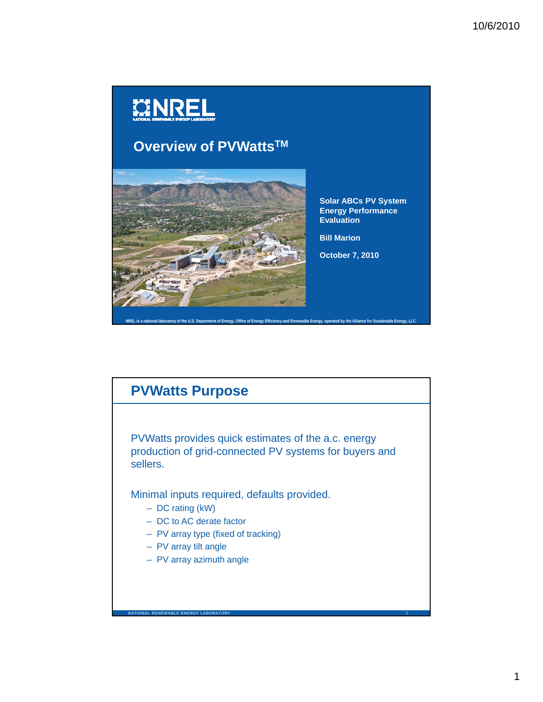

# **PVWatts Purpose**

PVWatts provides quick estimates of the a.c. energy production of grid-connected PV systems for buyers and sellers.

Minimal inputs required, defaults provided.

- DC rating (kW)
- DC to AC derate factor
- PV array type (fixed of tracking) PV array type (fixed of
- PV array tilt angle

**NATIONAL RENEWABLE ENERGY LABORATORY**

– PV array azimuth angle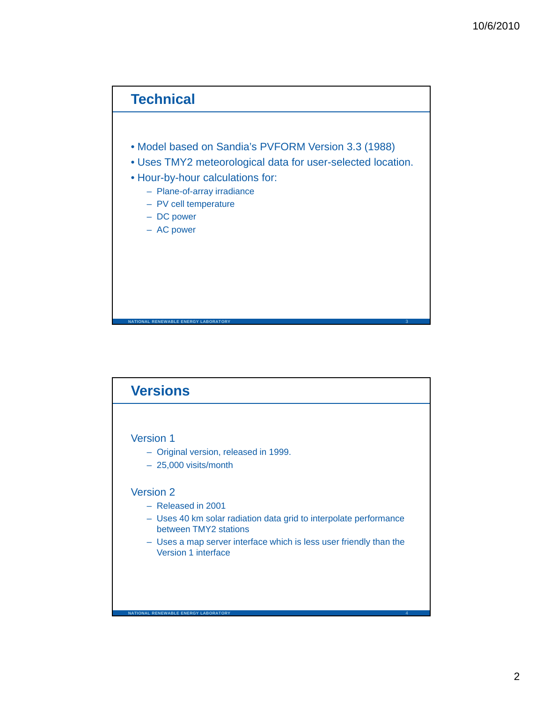## **Technical**

- Model based on Sandia's PVFORM Version 3.3 (1988)
- Uses TMY2 meteorological data for user-selected location.
- Hour-by-hour calculations for:
	- Plane-of-array irradiance
	- PV cell temperature
	- DC power
	- AC power

**NATIONAL RENEWABLE ENERGY LABORATORY** 3

### **Versions**

### Version 1

- Original version, released in 1999.
- 25,000 visits/month

### Version 2

– Released in 2001

**AL RENEWABLE ENERGY LABORATOR** 

- Uses 40 km solar radiation data grid to interpolate performance between TMY2 stations
- Uses a map server interface which is less user friendly than the Version 1 interface

4